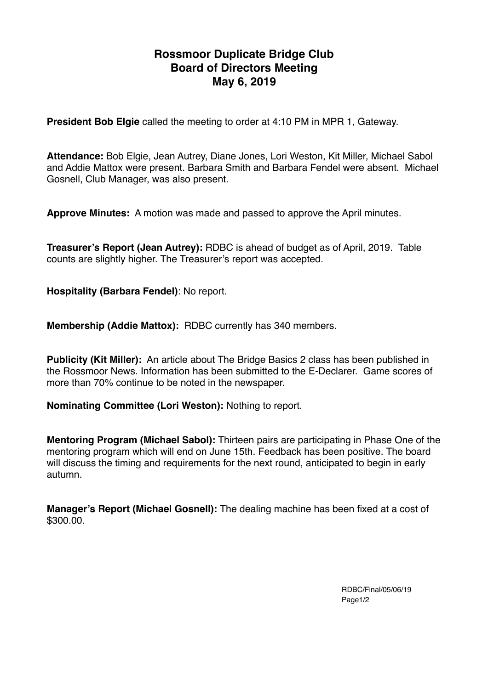# **Rossmoor Duplicate Bridge Club Board of Directors Meeting May 6, 2019**

**President Bob Elgie** called the meeting to order at 4:10 PM in MPR 1, Gateway.

**Attendance:** Bob Elgie, Jean Autrey, Diane Jones, Lori Weston, Kit Miller, Michael Sabol and Addie Mattox were present. Barbara Smith and Barbara Fendel were absent. Michael Gosnell, Club Manager, was also present.

**Approve Minutes:** A motion was made and passed to approve the April minutes.

**Treasurer's Report (Jean Autrey):** RDBC is ahead of budget as of April, 2019. Table counts are slightly higher. The Treasurer's report was accepted.

**Hospitality (Barbara Fendel)**: No report.

**Membership (Addie Mattox):** RDBC currently has 340 members.

**Publicity (Kit Miller):** An article about The Bridge Basics 2 class has been published in the Rossmoor News. Information has been submitted to the E-Declarer. Game scores of more than 70% continue to be noted in the newspaper.

**Nominating Committee (Lori Weston):** Nothing to report.

**Mentoring Program (Michael Sabol):** Thirteen pairs are participating in Phase One of the mentoring program which will end on June 15th. Feedback has been positive. The board will discuss the timing and requirements for the next round, anticipated to begin in early autumn.

**Manager's Report (Michael Gosnell):** The dealing machine has been fixed at a cost of \$300.00.

> RDBC/Final/05/06/19 Page1/2